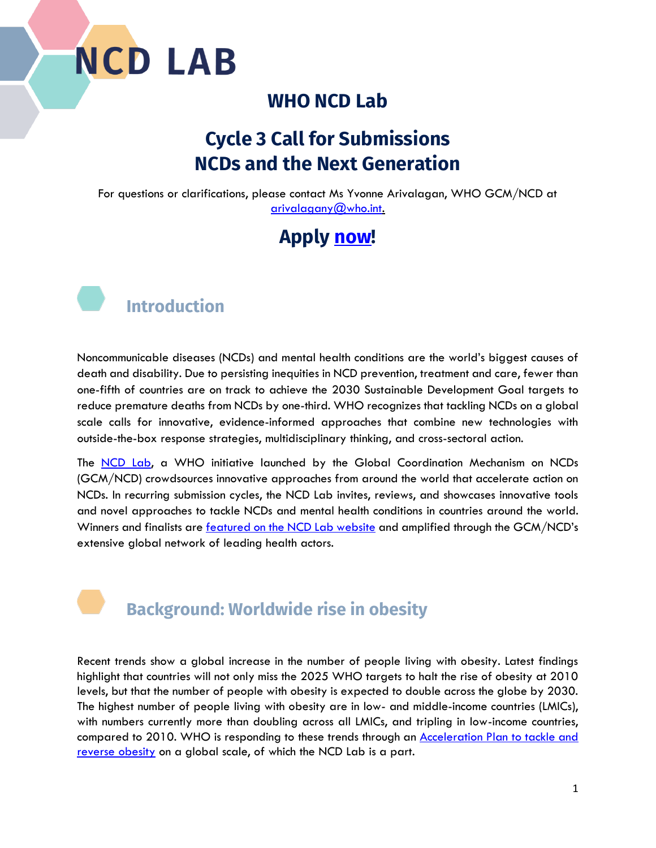

#### **WHO NCD Lab**

## **Cycle 3 Call for Submissions NCDs and the Next Generation**

For questions or clarifications, please contact Ms Yvonne Arivalagan, WHO GCM/NCD at [arivalagany@who.int.](mailto:arivalagany@who.int)

## **Apply [now!](https://www.knowledge-action-portal.com/en/ncd_lab/submit_proposal)**



Noncommunicable diseases (NCDs) and mental health conditions are the world's biggest causes of death and disability. Due to persisting inequities in NCD prevention, treatment and care, fewer than one-fifth of countries are on track to achieve the 2030 Sustainable Development Goal targets to reduce premature deaths from NCDs by one-third. WHO recognizes that tackling NCDs on a global scale calls for innovative, evidence-informed approaches that combine new technologies with outside-the-box response strategies, multidisciplinary thinking, and cross-sectoral action.

The [NCD Lab,](https://www.knowledge-action-portal.com/en/ncd_lab/featured_projects) a WHO initiative launched by the Global Coordination Mechanism on NCDs (GCM/NCD) crowdsources innovative approaches from around the world that accelerate action on NCDs. In recurring submission cycles, the NCD Lab invites, reviews, and showcases innovative tools and novel approaches to tackle NCDs and mental health conditions in countries around the world. Winners and finalists are **featured on the NCD Lab website** and amplified through the GCM/NCD's extensive global network of leading health actors.

### **Background: Worldwide rise in obesity**

Recent trends show a global increase in the number of people living with obesity. Latest findings highlight that countries will not only miss the 2025 WHO targets to halt the rise of obesity at 2010 levels, but that the number of people with obesity is expected to double across the globe by 2030. The highest number of people living with obesity are in low- and middle-income countries (LMICs), with numbers currently more than doubling across all LMICs, and tripling in low-income countries, compared to 2010. WHO is responding to these trends through an **Acceleration Plan to tackle and** [reverse obesity](https://www.who.int/news/item/04-03-2022-world-obesity-day-2022-accelerating-action-to-stop-obesity#:~:text=Following%20a%20request%20from%20Member%20States%2C%20the%20WHO,in%20May%202022.%20Subscribe%20to%20our%20newsletters%20%E2%86%92) on a global scale, of which the NCD Lab is a part.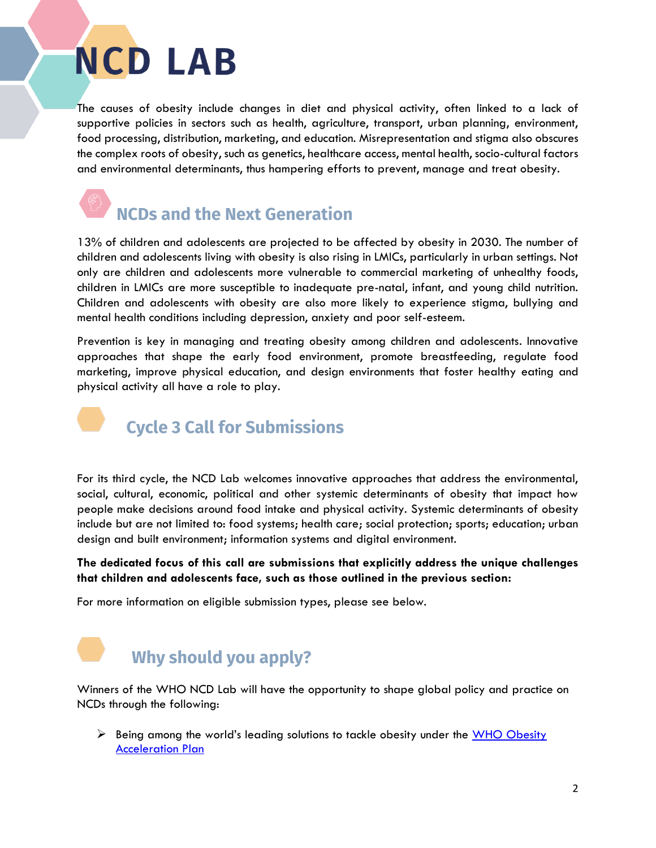The causes of obesity include changes in diet and physical activity, often linked to a lack of supportive policies in sectors such as health, agriculture, transport, urban planning, environment, food processing, distribution, marketing, and education. Misrepresentation and stigma also obscures the complex roots of obesity, such as genetics, healthcare access, mental health, socio-cultural factors and environmental determinants, thus hampering efforts to prevent, manage and treat obesity.

# **NCDs and the Next Generation**

13% of children and adolescents are projected to be affected by obesity in 2030. The number of children and adolescents living with obesity is also rising in LMICs, particularly in urban settings. Not only are children and adolescents more vulnerable to commercial marketing of unhealthy foods, children in LMICs are more susceptible to inadequate pre-natal, infant, and young child nutrition. Children and adolescents with obesity are also more likely to experience stigma, bullying and mental health conditions including depression, anxiety and poor self-esteem.

Prevention is key in managing and treating obesity among children and adolescents. Innovative approaches that shape the early food environment, promote breastfeeding, regulate food marketing, improve physical education, and design environments that foster healthy eating and physical activity all have a role to play.

 **Cycle 3 Call for Submissions**

For its third cycle, the NCD Lab welcomes innovative approaches that address the environmental, social, cultural, economic, political and other systemic determinants of obesity that impact how people make decisions around food intake and physical activity. Systemic determinants of obesity include but are not limited to: food systems; health care; social protection; sports; education; urban design and built environment; information systems and digital environment.

#### **The dedicated focus of this call are submissions that explicitly address the unique challenges that children and adolescents face, such as those outlined in the previous section:**

For more information on eligible submission types, please see below.

# **Why should you apply?**

Winners of the WHO NCD Lab will have the opportunity to shape global policy and practice on NCDs through the following:

 $\triangleright$  Being among the world's leading solutions to tackle obesity under the WHO Obesity [Acceleration Plan](https://www.who.int/news/item/04-03-2022-world-obesity-day-2022-accelerating-action-to-stop-obesity#:~:text=Following%20a%20request%20from%20Member%20States%2C%20the%20WHO,in%20May%202022.%20Subscribe%20to%20our%20newsletters%20%E2%86%92)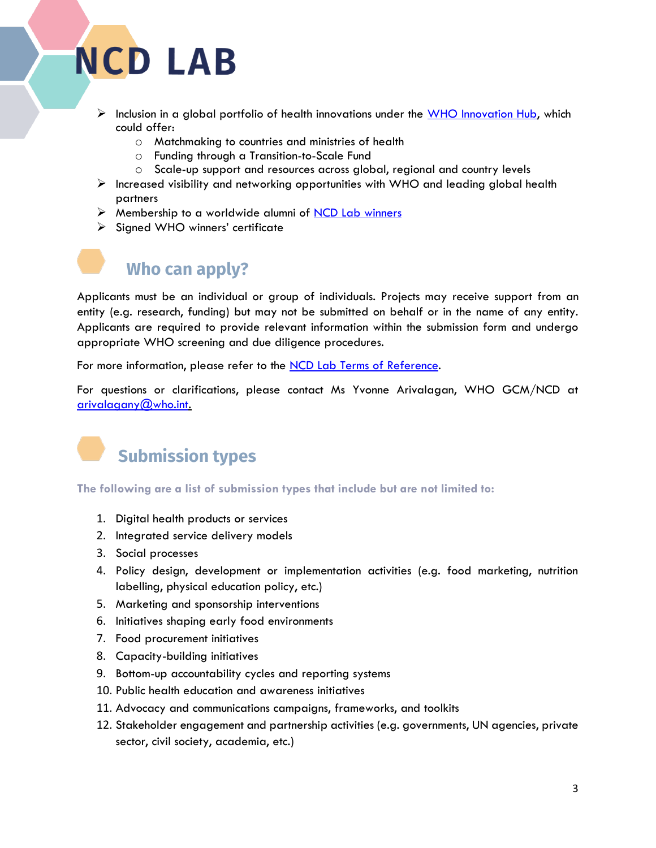- $\triangleright$  Inclusion in a global portfolio of health innovations under the [WHO Innovation Hub,](https://www.who.int/teams/digital-health-and-innovation/who-innovation-hub#:~:text=WHO%20Innovation%20hub%20The%20Innovation%20Hub%20focuses%20on,or%20behavioral%2C%20digital%20or%20technology-based%2C%20or%20a%20combination.) which could offer:
	- o Matchmaking to countries and ministries of health
	- o Funding through a Transition-to-Scale Fund
	- o Scale-up support and resources across global, regional and country levels
- $\triangleright$  Increased visibility and networking opportunities with WHO and leading global health partners
- $\triangleright$  Membership to a worldwide alumni of [NCD Lab winners](https://www.knowledge-action-portal.com/en/ncd_lab/featured_projects)
- ➢ Signed WHO winners' certificate

### **Who can apply?**

Applicants must be an individual or group of individuals. Projects may receive support from an entity (e.g. research, funding) but may not be submitted on behalf or in the name of any entity. Applicants are required to provide relevant information within the submission form and undergo appropriate WHO screening and due diligence procedures.

For more information, please refer to the [NCD Lab Terms of Reference.](https://www.knowledge-action-portal.com/sites/all/themes/pinitall/img/ncd_lab_pdfs/ncd-lab---terms-of-reference.pdf)

For questions or clarifications, please contact Ms Yvonne Arivalagan, WHO GCM/NCD at [arivalagany@who.int.](mailto:arivalagany@who.int)



**The following are a list of submission types that include but are not limited to:**

- 1. Digital health products or services
- 2. Integrated service delivery models
- 3. Social processes
- 4. Policy design, development or implementation activities (e.g. food marketing, nutrition labelling, physical education policy, etc.)
- 5. Marketing and sponsorship interventions
- 6. Initiatives shaping early food environments
- 7. Food procurement initiatives
- 8. Capacity-building initiatives
- 9. Bottom-up accountability cycles and reporting systems
- 10. Public health education and awareness initiatives
- 11. Advocacy and communications campaigns, frameworks, and toolkits
- 12. Stakeholder engagement and partnership activities (e.g. governments, UN agencies, private sector, civil society, academia, etc.)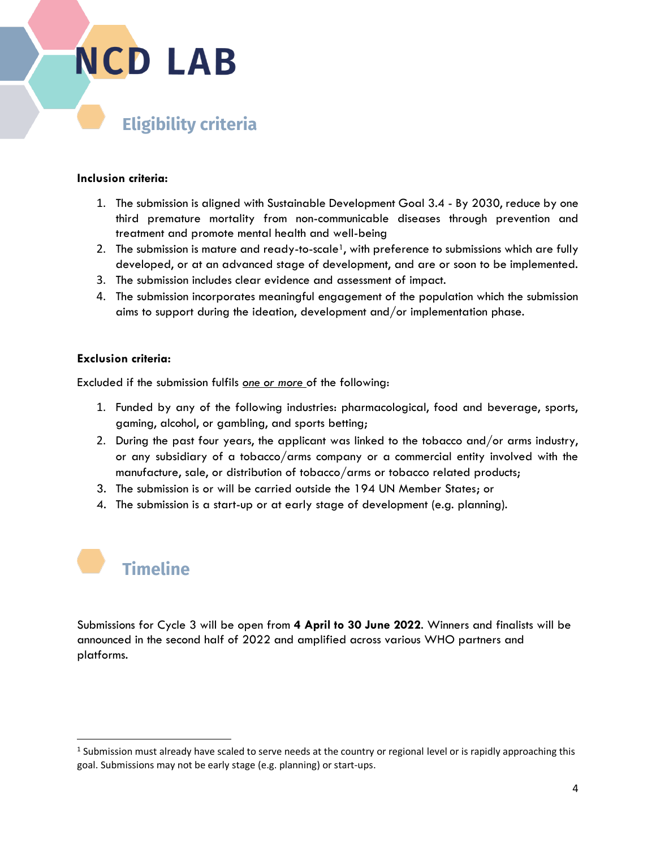## **Eligibility criteria**

#### **Inclusion criteria:**

- 1. The submission is aligned with Sustainable Development Goal 3.4 By 2030, reduce by one third premature mortality from non-communicable diseases through prevention and treatment and promote mental health and well-being
- 2. The submission is mature and ready-to-scale<sup>1</sup>, with preference to submissions which are fully developed, or at an advanced stage of development, and are or soon to be implemented.
- 3. The submission includes clear evidence and assessment of impact.
- 4. The submission incorporates meaningful engagement of the population which the submission aims to support during the ideation, development and/or implementation phase.

#### **Exclusion criteria:**

Excluded if the submission fulfils *one or more* of the following:

- 1. Funded by any of the following industries: pharmacological, food and beverage, sports, gaming, alcohol, or gambling, and sports betting;
- 2. During the past four years, the applicant was linked to the tobacco and/or arms industry, or any subsidiary of a tobacco/arms company or a commercial entity involved with the manufacture, sale, or distribution of tobacco/arms or tobacco related products;
- 3. The submission is or will be carried outside the 194 UN Member States; or
- 4. The submission is a start-up or at early stage of development (e.g. planning).



Submissions for Cycle 3 will be open from **4 April to 30 June 2022**. Winners and finalists will be announced in the second half of 2022 and amplified across various WHO partners and platforms.

 $1$  Submission must already have scaled to serve needs at the country or regional level or is rapidly approaching this goal. Submissions may not be early stage (e.g. planning) or start-ups.